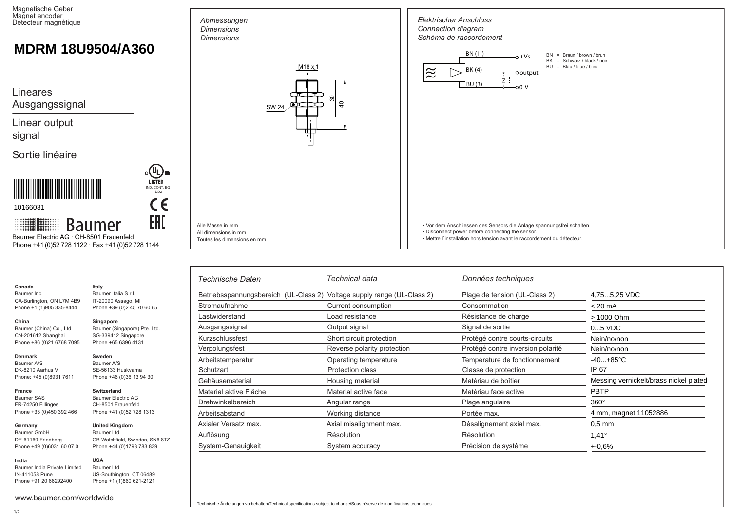Magnetische Geber Magnet encoder Detecteur magnétique

## **MDRM 18U9504/A360**

Lineares

Ausgangssignal

Linear output

signal

Sortie linéaire



10166031

**India**

**Baumer** Baumer Electric AG · CH-8501 Frauenfeld

Phone +41 (0)52 728 1122 · Fax +41 (0)52 728 1144

IND. CONT. EQ 1DD2

 $C \in$ 

**EAD** 

COL US

|                                                                                      |                                                                                                      | Technische Daten                                                        | Technical data              | Données techniques                |                                        |
|--------------------------------------------------------------------------------------|------------------------------------------------------------------------------------------------------|-------------------------------------------------------------------------|-----------------------------|-----------------------------------|----------------------------------------|
| Canada<br>Baumer Inc.<br>CA-Burlington, ON L7M 4B9<br>Phone +1 (1)905 335-8444       | Italy<br>Baumer Italia S.r.I.<br>IT-20090 Assago, MI<br>Phone +39 (0) 245 70 60 65                   | Betriebsspannungsbereich (UL-Class 2) Voltage supply range (UL-Class 2) |                             | Plage de tension (UL-Class 2)     | 4,755,25 VDC                           |
|                                                                                      |                                                                                                      | Stromaufnahme                                                           | Current consumption         | Consommation                      | $< 20 \text{ mA}$                      |
| China<br>Baumer (China) Co., Ltd.<br>CN-201612 Shanghai<br>Phone +86 (0)21 6768 7095 | Singapore<br>Baumer (Singapore) Pte. Ltd.<br>SG-339412 Singapore<br>Phone +65 6396 4131              | Lastwiderstand                                                          | Load resistance             | Résistance de charge              | > 1000 Ohm                             |
|                                                                                      |                                                                                                      | Ausgangssignal                                                          | Output signal               | Signal de sortie                  | $05$ VDC                               |
|                                                                                      |                                                                                                      | Kurzschlussfest                                                         | Short circuit protection    | Protégé contre courts-circuits    | Nein/no/non                            |
|                                                                                      |                                                                                                      | Verpolungsfest                                                          | Reverse polarity protection | Protégé contre inversion polarité | Nein/no/non                            |
| <b>Denmark</b><br>Baumer A/S<br>DK-8210 Aarhus V<br>Phone: +45 (0)8931 7611          | Sweden<br>Baumer A/S<br>SE-56133 Huskvarna<br>Phone +46 (0)36 13 94 30                               | Arbeitstemperatur                                                       | Operating temperature       | Température de fonctionnement     | $-40+85^{\circ}C$                      |
|                                                                                      |                                                                                                      | Schutzart                                                               | <b>Protection class</b>     | Classe de protection              | IP 67                                  |
|                                                                                      |                                                                                                      | Gehäusematerial                                                         | Housing material            | Matériau de boîtier               | Messing vernickelt/brass nickel plated |
| France<br>Baumer SAS<br>FR-74250 Fillinges<br>Phone +33 (0)450 392 466               | Switzerland<br><b>Baumer Electric AG</b><br>CH-8501 Frauenfeld<br>Phone +41 (0)52 728 1313           | Material aktive Fläche                                                  | Material active face        | Matériau face active              | <b>PBTP</b>                            |
|                                                                                      |                                                                                                      | Drehwinkelbereich                                                       | Angular range               | Plage angulaire                   | $360^\circ$                            |
|                                                                                      |                                                                                                      | Arbeitsabstand                                                          | Working distance            | Portée max.                       | 4 mm, magnet 11052886                  |
| Germany<br>Baumer GmbH<br>DE-61169 Friedberg<br>Phone +49 (0)6031 60 07 0            | <b>United Kingdom</b><br>Baumer Ltd.<br>GB-Watchfield, Swindon, SN6 8TZ<br>Phone +44 (0)1793 783 839 | Axialer Versatz max.                                                    | Axial misalignment max.     | Désalignement axial max.          | $0.5$ mm                               |
|                                                                                      |                                                                                                      | Auflösung                                                               | Résolution                  | Résolution                        | $1,41^\circ$                           |
|                                                                                      |                                                                                                      | System-Genauigkeit                                                      | System accuracy             | Précision de système              | +-0,6%                                 |

*Dimensions* SW 24  $M18 x$ 

 $\frac{d}{2}$ ఇ∣

*Elektrischer Anschluss Connection diagram Schéma de raccordement*

 $\approx$ 

BN (1 )  $BK(4)$  $\overline{B}$ U $(3)$ 

 $-0+Vs$  $\overline{\phantom{a}}$ output  $0.01$ 

 $\left[\begin{array}{c} 2 \end{array}\right]$ 

• Vor dem Anschliessen des Sensors die Anlage spannungsfrei schalten.

• Mettre l`installation hors tension avant le raccordement du détecteur.

• Disconnect power before connecting the sensor.

BN = Braun / brown / brun BK = Schwarz / black / noir  $BU = Blau/blue/bleu$ 

Alle Masse in mm All dimensions in mm Toutes les dimensions en mm

*Abmessungen Dimensions* 

www.baumer.com/worldwide

Baumer India Private Limited IN-411058 Pune Phone +91 20 66292400

**USA** Baumer Ltd.

US-Southington, CT 06489 Phone +1 (1)860 621-2121

1/2